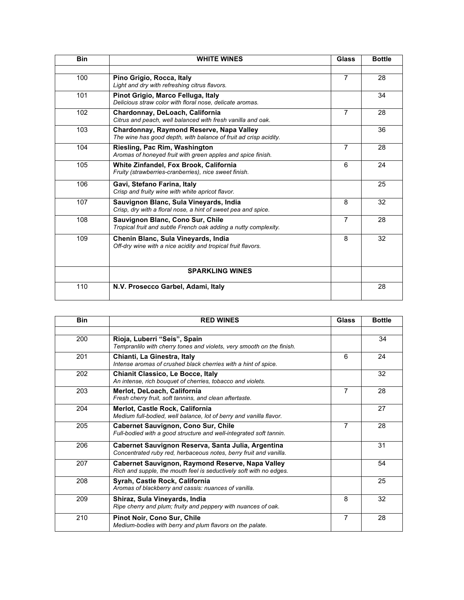| <b>Bin</b> | <b>WHITE WINES</b>                                                                                           | Glass          | <b>Bottle</b> |
|------------|--------------------------------------------------------------------------------------------------------------|----------------|---------------|
|            |                                                                                                              |                |               |
| 100        | Pino Grigio, Rocca, Italy<br>Light and dry with refreshing citrus flavors.                                   | $\overline{7}$ | 28            |
| 101        | Pinot Grigio, Marco Felluga, Italy<br>Delicious straw color with floral nose, delicate aromas.               |                | 34            |
| 102        | Chardonnay, DeLoach, California<br>Citrus and peach, well balanced with fresh vanilla and oak.               | $\overline{7}$ | 28            |
| 103        | Chardonnay, Raymond Reserve, Napa Valley<br>The wine has good depth, with balance of fruit ad crisp acidity. |                | 36            |
| 104        | Riesling, Pac Rim, Washington<br>Aromas of honeyed fruit with green apples and spice finish.                 | $\overline{7}$ | 28            |
| 105        | <b>White Zinfandel, Fox Brook, California</b><br>Fruity (strawberries-cranberries), nice sweet finish.       | 6              | 24            |
| 106        | Gavi, Stefano Farina, Italy<br>Crisp and fruity wine with white apricot flavor.                              |                | 25            |
| 107        | Sauvignon Blanc, Sula Vineyards, India<br>Crisp, dry with a floral nose, a hint of sweet pea and spice.      | 8              | 32            |
| 108        | Sauvignon Blanc, Cono Sur, Chile<br>Tropical fruit and subtle French oak adding a nutty complexity.          | $\overline{7}$ | 28            |
| 109        | Chenin Blanc, Sula Vineyards, India<br>Off-dry wine with a nice acidity and tropical fruit flavors.          | 8              | 32            |
|            | <b>SPARKLING WINES</b>                                                                                       |                |               |
| 110        | N.V. Prosecco Garbel, Adami, Italy                                                                           |                | 28            |

| <b>Bin</b> | <b>RED WINES</b>                                                                                                              | Glass          | <b>Bottle</b> |
|------------|-------------------------------------------------------------------------------------------------------------------------------|----------------|---------------|
|            |                                                                                                                               |                |               |
| 200        | Rioja, Luberri "Seis", Spain<br>Tempranlilo with cherry tones and violets, very smooth on the finish.                         |                | 34            |
| 201        | Chianti, La Ginestra, Italy<br>Intense aromas of crushed black cherries with a hint of spice.                                 | 6              | 24            |
| 202        | <b>Chianit Classico, Le Bocce, Italy</b><br>An intense, rich bouquet of cherries, tobacco and violets.                        |                | 32            |
| 203        | Merlot, DeLoach, California<br>Fresh cherry fruit, soft tannins, and clean aftertaste.                                        | $\overline{7}$ | 28            |
| 204        | Merlot, Castle Rock, California<br>Medium full-bodied, well balance, lot of berry and vanilla flavor.                         |                | 27            |
| 205        | Cabernet Sauvignon, Cono Sur, Chile<br>Full-bodied with a good structure and well-integrated soft tannin.                     | 7              | 28            |
| 206        | Cabernet Sauvignon Reserva, Santa Julia, Argentina<br>Concentrated ruby red, herbaceous notes, berry fruit and vanilla.       |                | 31            |
| 207        | <b>Cabernet Sauvignon, Raymond Reserve, Napa Valley</b><br>Rich and supple, the mouth feel is seductively soft with no edges. |                | 54            |
| 208        | Syrah, Castle Rock, California<br>Aromas of blackberry and cassis: nuances of vanilla.                                        |                | 25            |
| 209        | Shiraz, Sula Vineyards, India<br>Ripe cherry and plum; fruity and peppery with nuances of oak.                                | 8              | 32            |
| 210        | Pinot Noir, Cono Sur, Chile<br>Medium-bodies with berry and plum flavors on the palate.                                       | $\overline{7}$ | 28            |